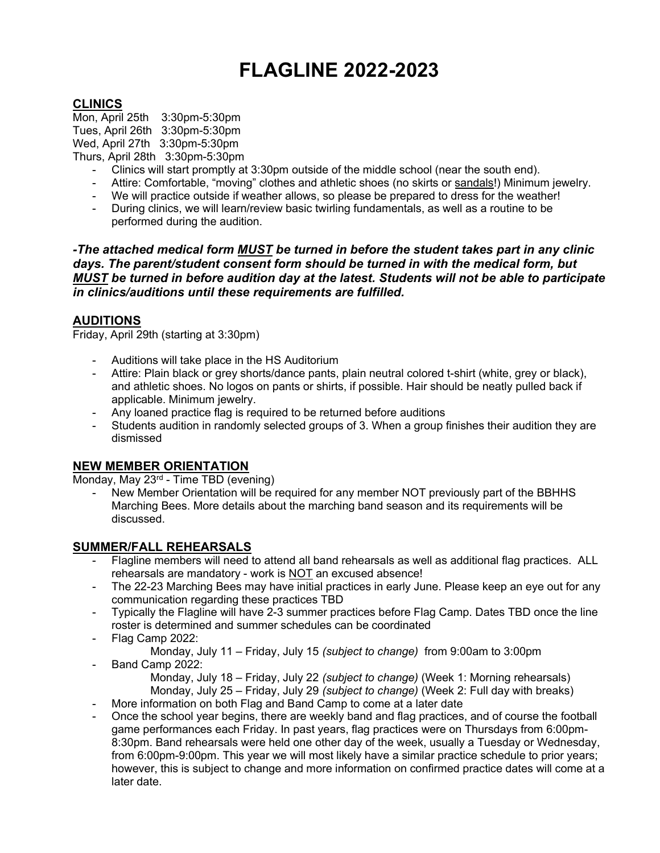# FLAGLINE 2022-2023

## **CLINICS**

Mon, April 25th 3:30pm-5:30pm Tues, April 26th 3:30pm-5:30pm Wed, April 27th 3:30pm-5:30pm Thurs, April 28th 3:30pm-5:30pm

- Clinics will start promptly at 3:30pm outside of the middle school (near the south end).
- Attire: Comfortable, "moving" clothes and athletic shoes (no skirts or sandals!) Minimum jewelry.
- We will practice outside if weather allows, so please be prepared to dress for the weather!
- During clinics, we will learn/review basic twirling fundamentals, as well as a routine to be performed during the audition.

-The attached medical form MUST be turned in before the student takes part in any clinic days. The parent/student consent form should be turned in with the medical form, but MUST be turned in before audition day at the latest. Students will not be able to participate in clinics/auditions until these requirements are fulfilled.

## AUDITIONS

Friday, April 29th (starting at 3:30pm)

- Auditions will take place in the HS Auditorium
- Attire: Plain black or grey shorts/dance pants, plain neutral colored t-shirt (white, grey or black), and athletic shoes. No logos on pants or shirts, if possible. Hair should be neatly pulled back if applicable. Minimum jewelry.
- Any loaned practice flag is required to be returned before auditions
- Students audition in randomly selected groups of 3. When a group finishes their audition they are dismissed

## NEW MEMBER ORIENTATION

Monday, May 23rd - Time TBD (evening)

New Member Orientation will be required for any member NOT previously part of the BBHHS Marching Bees. More details about the marching band season and its requirements will be discussed.

## SUMMER/FALL REHEARSALS

- Flagline members will need to attend all band rehearsals as well as additional flag practices. ALL rehearsals are mandatory - work is NOT an excused absence!
- The 22-23 Marching Bees may have initial practices in early June. Please keep an eye out for any communication regarding these practices TBD
- Typically the Flagline will have 2-3 summer practices before Flag Camp. Dates TBD once the line roster is determined and summer schedules can be coordinated
- Flag Camp 2022:

Monday, July 11 – Friday, July 15 (subject to change) from 9:00am to 3:00pm

Band Camp 2022:

Monday, July 18 – Friday, July 22 (subject to change) (Week 1: Morning rehearsals) Monday, July 25 – Friday, July 29 (subject to change) (Week 2: Full day with breaks)

- More information on both Flag and Band Camp to come at a later date
- Once the school year begins, there are weekly band and flag practices, and of course the football game performances each Friday. In past years, flag practices were on Thursdays from 6:00pm-8:30pm. Band rehearsals were held one other day of the week, usually a Tuesday or Wednesday, from 6:00pm-9:00pm. This year we will most likely have a similar practice schedule to prior years; however, this is subject to change and more information on confirmed practice dates will come at a later date.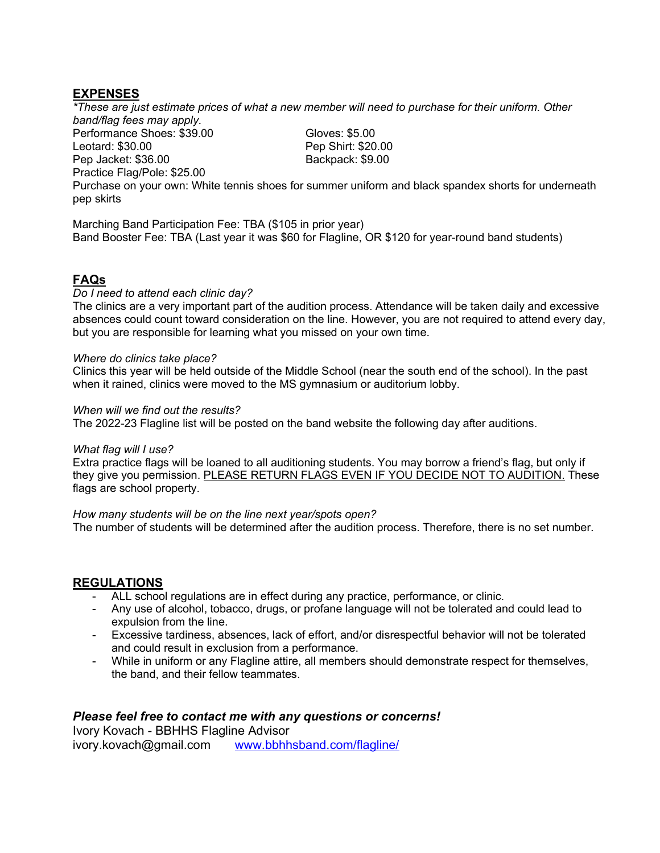## EXPENSES

\*These are just estimate prices of what a new member will need to purchase for their uniform. Other band/flag fees may apply.

Performance Shoes: \$39.00 Gloves: \$5.00 Leotard: \$30.00 Pep Shirt: \$20.00 Pep Jacket: \$36.00 Backpack: \$9.00 Practice Flag/Pole: \$25.00

Purchase on your own: White tennis shoes for summer uniform and black spandex shorts for underneath pep skirts

Marching Band Participation Fee: TBA (\$105 in prior year) Band Booster Fee: TBA (Last year it was \$60 for Flagline, OR \$120 for year-round band students)

## FAQs

#### Do I need to attend each clinic day?

The clinics are a very important part of the audition process. Attendance will be taken daily and excessive absences could count toward consideration on the line. However, you are not required to attend every day, but you are responsible for learning what you missed on your own time.

#### Where do clinics take place?

Clinics this year will be held outside of the Middle School (near the south end of the school). In the past when it rained, clinics were moved to the MS gymnasium or auditorium lobby.

#### When will we find out the results?

The 2022-23 Flagline list will be posted on the band website the following day after auditions.

#### What flag will I use?

Extra practice flags will be loaned to all auditioning students. You may borrow a friend's flag, but only if they give you permission. PLEASE RETURN FLAGS EVEN IF YOU DECIDE NOT TO AUDITION. These flags are school property.

#### How many students will be on the line next year/spots open?

The number of students will be determined after the audition process. Therefore, there is no set number.

## REGULATIONS

- ALL school regulations are in effect during any practice, performance, or clinic.
- Any use of alcohol, tobacco, drugs, or profane language will not be tolerated and could lead to expulsion from the line.
- Excessive tardiness, absences, lack of effort, and/or disrespectful behavior will not be tolerated and could result in exclusion from a performance.
- While in uniform or any Flagline attire, all members should demonstrate respect for themselves, the band, and their fellow teammates.

## Please feel free to contact me with any questions or concerns!

Ivory Kovach - BBHHS Flagline Advisor ivory.kovach@gmail.com www.bbhhsband.com/flagline/